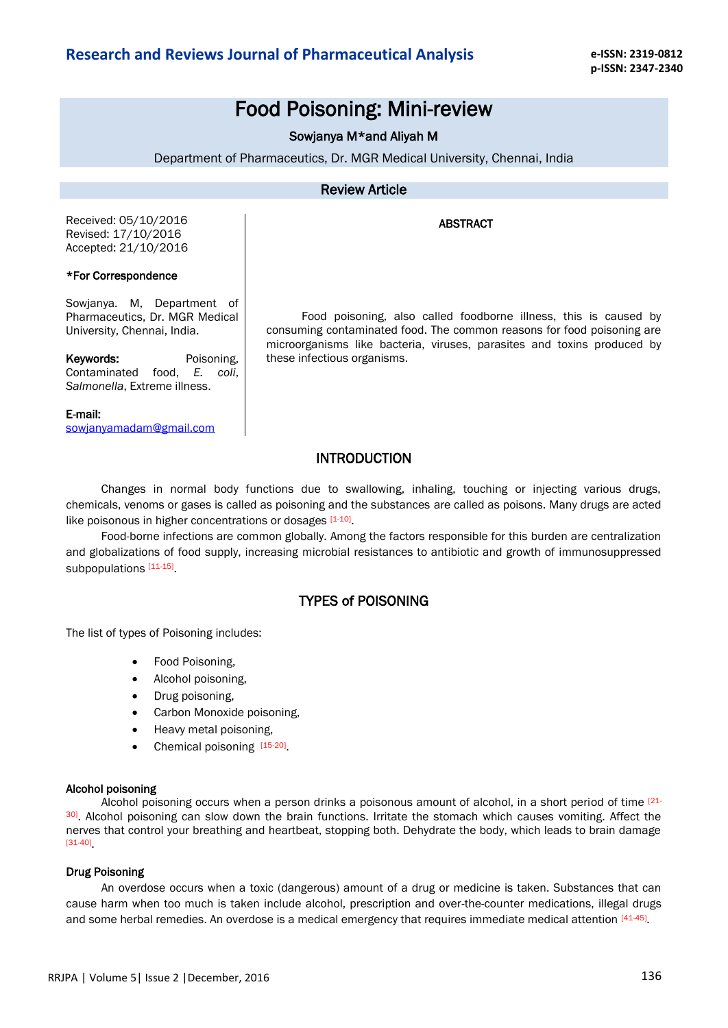# Food Poisoning: Mini-review

# Sowjanya M\*and Aliyah M

Department of Pharmaceutics, Dr. MGR Medical University, Chennai, India

### Review Article

#### ABSTRACT

Received: 05/10/2016 Revised: 17/10/2016 Accepted: 21/10/2016

#### \*For Correspondence

Sowjanya. M, Department of Pharmaceutics, Dr. MGR Medical University, Chennai, India.

Keywords: Poisoning, Contaminated food, *E. coli*, *Salmonella*, Extreme illness.

#### E-mail:

sowjanyamadam@gmail.com

Food poisoning, also called foodborne illness, this is caused by consuming contaminated food. The common reasons for food poisoning are microorganisms like bacteria, viruses, parasites and toxins produced by these infectious organisms.

## INTRODUCTION

Changes in normal body functions due to swallowing, inhaling, touching or injecting various drugs, chemicals, venoms or gases is called as poisoning and the substances are called as poisons. Many drugs are acted like poisonous in higher concentrations or dosages [1-10].

Food-borne infections are common globally. Among the factors responsible for this burden are centralization and globalizations of food supply, increasing microbial resistances to antibiotic and growth of immunosuppressed subpopulations [11-15]

## TYPES of POISONING

The list of types of Poisoning includes:

- Food Poisoning,
- Alcohol poisoning,
- Drug poisoning,
- Carbon Monoxide poisoning,
- Heavy metal poisoning,
- Chemical poisoning [15-20].

#### [Alcohol poisoning](http://www.sja.org.uk/sja/first-aid-advice/poisoning/alcohol-poisoning.aspx)

Alcohol poisoning occurs when a person drinks a poisonous amount of alcohol, in a short period of time [21- 30]. Alcohol poisoning can slow down the brain functions. Irritate the stomach which causes vomiting. Affect the nerves that control your breathing and heartbeat, stopping both. Dehydrate the body, which leads to brain damage [31-40] .

#### Drug Poisoning

An overdose occurs when a toxic (dangerous) amount of a drug or medicine is taken. Substances that can cause harm when too much is taken include alcohol, prescription and over-the-counter medications, illegal drugs and some herbal remedies. An overdose is a medical emergency that requires immediate medical attention [41-45]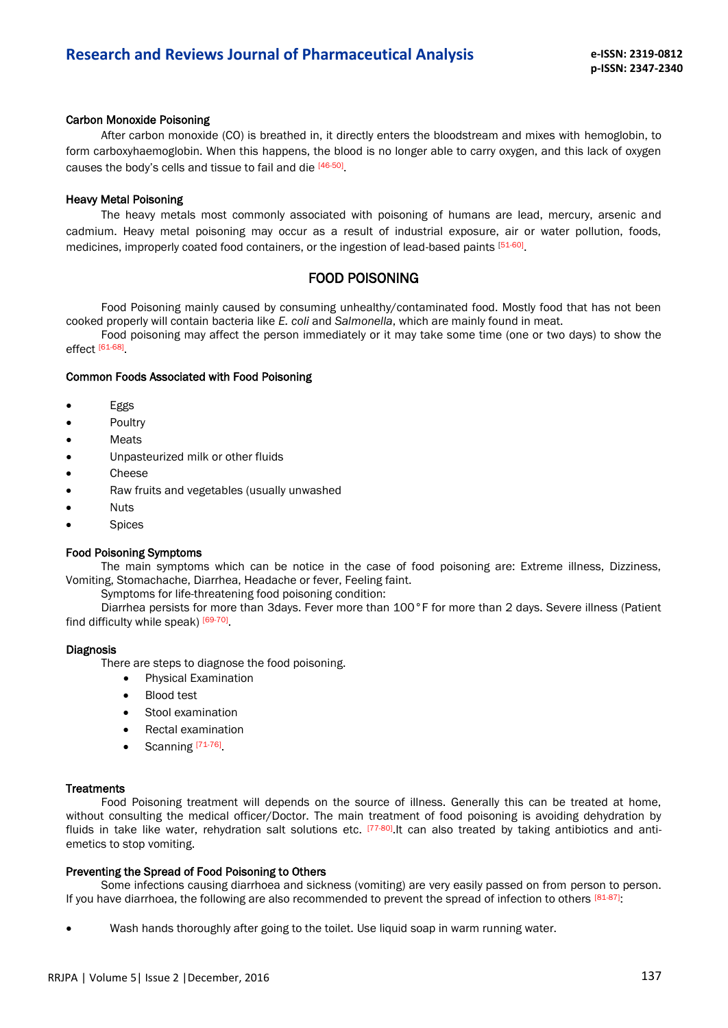#### Carbon Monoxide Poisoning

After carbon monoxide (CO) is breathed in, it directly enters the bloodstream and mixes with hemoglobin, to form carboxyhaemoglobin. When this happens, the blood is no longer able to carry oxygen, and this lack of oxygen causes the body's cells and tissue to fail and die [46-50].

#### Heavy Metal Poisoning

The heavy metals most commonly associated with poisoning of humans are lead, mercury, arsenic and cadmium. Heavy metal poisoning may occur as a result of industrial exposure, air or water pollution, foods, medicines, improperly coated food containers, or the ingestion of lead-based paints [51-60].

### FOOD POISONING

Food Poisoning mainly caused by consuming unhealthy/contaminated food. Mostly food that has not been cooked properly will contain bacteria like *E. coli* and *Salmonella*, which are mainly found in meat.

Food poisoning may affect the person immediately or it may take some time (one or two days) to show the effect [61-68] .

#### Common Foods Associated with Food Poisoning

- Eggs
- Poultry
- Meats
- Unpasteurized milk or other fluids
- Cheese
- Raw fruits and vegetables (usually unwashed
- Nuts
- Spices

#### Food Poisoning Symptoms

The main symptoms which can be notice in the case of food poisoning are: Extreme illness, Dizziness, Vomiting, Stomachache, Diarrhea, Headache or fever, Feeling faint.

Symptoms for life-threatening food poisoning condition:

Diarrhea persists for more than 3days. Fever more than 100°F for more than 2 days. Severe illness (Patient find difficulty while speak) [69-70].

#### Diagnosis

There are steps to diagnose the food poisoning.

- Physical Examination
- Blood test
- Stool examination
- Rectal examination
- Scanning [71-76]

#### **Treatments**

Food Poisoning treatment will depends on the source of illness. Generally this can be treated at home, without consulting the medical officer/Doctor. The main treatment of food poisoning is avoiding dehydration by fluids in take like water, rehydration salt solutions etc. <sup>[77-80]</sup>.It can also treated by taking antibiotics and antiemetics to stop vomiting.

#### Preventing the Spread of Food Poisoning to Others

Some infections causing diarrhoea and sickness (vomiting) are very easily passed on from person to person. If you have diarrhoea, the following are also recommended to prevent the spread of infection to others [81-87]:

Wash hands thoroughly after going to the toilet. Use liquid soap in warm running water.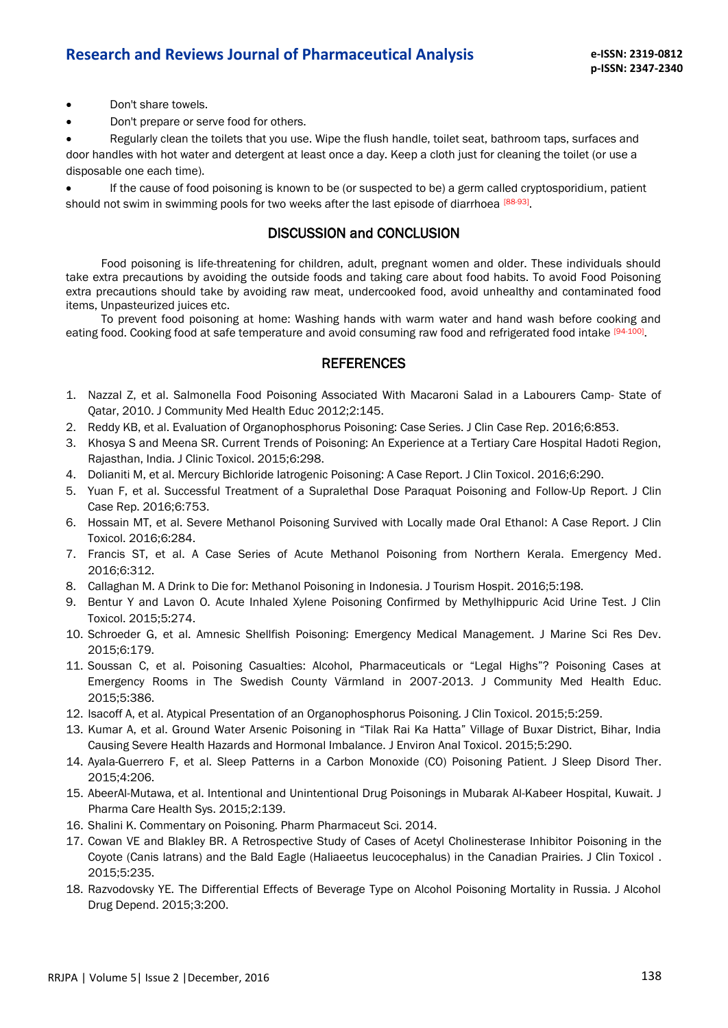- Don't share towels.
- Don't prepare or serve food for others.

 Regularly clean the toilets that you use. Wipe the flush handle, toilet seat, bathroom taps, surfaces and door handles with hot water and detergent at least once a day. Keep a cloth just for cleaning the toilet (or use a disposable one each time).

 If the cause of food poisoning is known to be (or suspected to be) a germ called cryptosporidium, patient should not swim in swimming pools for two weeks after the last episode of diarrhoea [88-93].

### DISCUSSION and CONCLUSION

Food poisoning is life-threatening for children, adult, pregnant women and older. These individuals should take extra precautions by avoiding the outside foods and taking care about food habits. To avoid Food Poisoning extra precautions should take by avoiding raw meat, undercooked food, avoid unhealthy and contaminated food items, Unpasteurized juices etc.

To prevent food poisoning at home: Washing hands with warm water and hand wash before cooking and eating food. Cooking food at safe temperature and avoid consuming raw food and refrigerated food intake [94-100]

### **REFERENCES**

- 1. Nazzal Z, et al. Salmonella Food Poisoning Associated With Macaroni Salad in a Labourers Camp- State of Qatar, 2010. J Community Med Health Educ 2012;2:145.
- 2. Reddy KB, et al. Evaluation of Organophosphorus Poisoning: Case Series. J Clin Case Rep. 2016;6:853.
- 3. Khosya S and Meena SR. Current Trends of Poisoning: An Experience at a Tertiary Care Hospital Hadoti Region, Rajasthan, India. J Clinic Toxicol. 2015;6:298.
- 4. Dolianiti M, et al. Mercury Bichloride Iatrogenic Poisoning: A Case Report. J Clin Toxicol. 2016;6:290.
- 5. Yuan F, et al. Successful Treatment of a Supralethal Dose Paraquat Poisoning and Follow-Up Report. J Clin Case Rep. 2016;6:753.
- 6. Hossain MT, et al. Severe Methanol Poisoning Survived with Locally made Oral Ethanol: A Case Report. J Clin Toxicol. 2016;6:284.
- 7. Francis ST, et al. A Case Series of Acute Methanol Poisoning from Northern Kerala. Emergency Med. 2016;6:312.
- 8. Callaghan M. A Drink to Die for: Methanol Poisoning in Indonesia. J Tourism Hospit. 2016;5:198.
- 9. Bentur Y and Lavon O. Acute Inhaled Xylene Poisoning Confirmed by Methylhippuric Acid Urine Test. J Clin Toxicol. 2015;5:274.
- 10. Schroeder G, et al. Amnesic Shellfish Poisoning: Emergency Medical Management. J Marine Sci Res Dev. 2015;6:179.
- 11. Soussan C, et al. Poisoning Casualties: Alcohol, Pharmaceuticals or "Legal Highs"? Poisoning Cases at Emergency Rooms in The Swedish County Värmland in 2007-2013. J Community Med Health Educ. 2015;5:386.
- 12. Isacoff A, et al. Atypical Presentation of an Organophosphorus Poisoning. J Clin Toxicol. 2015;5:259.
- 13. Kumar A, et al. Ground Water Arsenic Poisoning in "Tilak Rai Ka Hatta" Village of Buxar District, Bihar, India Causing Severe Health Hazards and Hormonal Imbalance. J Environ Anal Toxicol. 2015;5:290.
- 14. Ayala-Guerrero F, et al. Sleep Patterns in a Carbon Monoxide (CO) Poisoning Patient. J Sleep Disord Ther. 2015;4:206.
- 15. AbeerAl-Mutawa, et al. Intentional and Unintentional Drug Poisonings in Mubarak Al-Kabeer Hospital, Kuwait. J Pharma Care Health Sys. 2015;2:139.
- 16. Shalini K. Commentary on Poisoning. Pharm Pharmaceut Sci. 2014.
- 17. Cowan VE and Blakley BR. A Retrospective Study of Cases of Acetyl Cholinesterase Inhibitor Poisoning in the Coyote (Canis latrans) and the Bald Eagle (Haliaeetus leucocephalus) in the Canadian Prairies. J Clin Toxicol . 2015;5:235.
- 18. Razvodovsky YE. The Differential Effects of Beverage Type on Alcohol Poisoning Mortality in Russia. J Alcohol Drug Depend. 2015;3:200.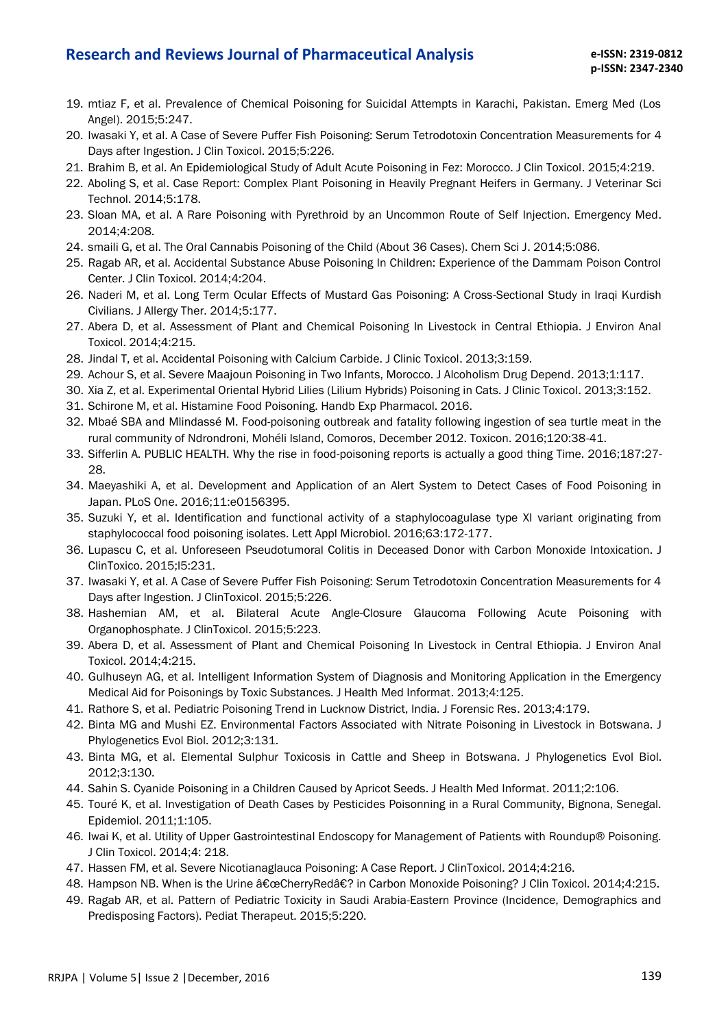- 19. mtiaz F, et al. Prevalence of Chemical Poisoning for Suicidal Attempts in Karachi, Pakistan. Emerg Med (Los Angel). 2015;5:247.
- 20. Iwasaki Y, et al. A Case of Severe Puffer Fish Poisoning: Serum Tetrodotoxin Concentration Measurements for 4 Days after Ingestion. J Clin Toxicol. 2015;5:226.
- 21. Brahim B, et al. An Epidemiological Study of Adult Acute Poisoning in Fez: Morocco. J Clin Toxicol. 2015;4:219.
- 22. Aboling S, et al. Case Report: Complex Plant Poisoning in Heavily Pregnant Heifers in Germany. J Veterinar Sci Technol. 2014;5:178.
- 23. Sloan MA, et al. A Rare Poisoning with Pyrethroid by an Uncommon Route of Self Injection. Emergency Med. 2014;4:208.
- 24. smaili G, et al. The Oral Cannabis Poisoning of the Child (About 36 Cases). Chem Sci J. 2014;5:086.
- 25. Ragab AR, et al. Accidental Substance Abuse Poisoning In Children: Experience of the Dammam Poison Control Center. J Clin Toxicol. 2014;4:204.
- 26. Naderi M, et al. Long Term Ocular Effects of Mustard Gas Poisoning: A Cross-Sectional Study in Iraqi Kurdish Civilians. J Allergy Ther. 2014;5:177.
- 27. Abera D, et al. Assessment of Plant and Chemical Poisoning In Livestock in Central Ethiopia. J Environ Anal Toxicol. 2014;4:215.
- 28. Jindal T, et al. Accidental Poisoning with Calcium Carbide. J Clinic Toxicol. 2013;3:159.
- 29. Achour S, et al. Severe Maajoun Poisoning in Two Infants, Morocco. J Alcoholism Drug Depend. 2013;1:117.
- 30. Xia Z, et al. Experimental Oriental Hybrid Lilies (Lilium Hybrids) Poisoning in Cats. J Clinic Toxicol. 2013;3:152.
- 31. Schirone M, et al. Histamine Food Poisoning. Handb Exp Pharmacol. 2016.
- 32. Mbaé SBA and Mlindassé M. Food-poisoning outbreak and fatality following ingestion of sea turtle meat in the rural community of Ndrondroni, Mohéli Island, Comoros, December 2012. Toxicon. 2016;120:38-41.
- 33. Sifferlin A. PUBLIC HEALTH. Why the rise in food-poisoning reports is actually a good thing Time. 2016;187:27- 28.
- 34. Maeyashiki A, et al. Development and Application of an Alert System to Detect Cases of Food Poisoning in Japan. PLoS One. 2016;11:e0156395.
- 35. Suzuki Y, et al. Identification and functional activity of a staphylocoagulase type XI variant originating from staphylococcal food poisoning isolates. Lett Appl Microbiol. 2016;63:172-177.
- 36. Lupascu C, et al. Unforeseen Pseudotumoral Colitis in Deceased Donor with Carbon Monoxide Intoxication. J ClinToxico. 2015;l5:231.
- 37. Iwasaki Y, et al. A Case of Severe Puffer Fish Poisoning: Serum Tetrodotoxin Concentration Measurements for 4 Days after Ingestion. J ClinToxicol. 2015;5:226.
- 38. Hashemian AM, et al. Bilateral Acute Angle-Closure Glaucoma Following Acute Poisoning with Organophosphate. J ClinToxicol. 2015;5:223.
- 39. Abera D, et al. Assessment of Plant and Chemical Poisoning In Livestock in Central Ethiopia. J Environ Anal Toxicol. 2014;4:215.
- 40. Gulhuseyn AG, et al. Intelligent Information System of Diagnosis and Monitoring Application in the Emergency Medical Aid for Poisonings by Toxic Substances. J Health Med Informat. 2013;4:125.
- 41. Rathore S, et al. Pediatric Poisoning Trend in Lucknow District, India. J Forensic Res. 2013;4:179.
- 42. Binta MG and Mushi EZ. Environmental Factors Associated with Nitrate Poisoning in Livestock in Botswana. J Phylogenetics Evol Biol. 2012;3:131.
- 43. Binta MG, et al. Elemental Sulphur Toxicosis in Cattle and Sheep in Botswana. J Phylogenetics Evol Biol. 2012;3:130.
- 44. Sahin S. Cyanide Poisoning in a Children Caused by Apricot Seeds. J Health Med Informat. 2011;2:106.
- 45. Touré K, et al. Investigation of Death Cases by Pesticides Poisonning in a Rural Community, Bignona, Senegal. Epidemiol. 2011;1:105.
- 46. Iwai K, et al. Utility of Upper Gastrointestinal Endoscopy for Management of Patients with Roundup® Poisoning. J Clin Toxicol. 2014;4: 218.
- 47. Hassen FM, et al. Severe Nicotianaglauca Poisoning: A Case Report. J ClinToxicol. 2014;4:216.
- 48. Hampson NB. When is the Urine "CherryRed� in Carbon Monoxide Poisoning? J Clin Toxicol. 2014;4:215.
- 49. Ragab AR, et al. Pattern of Pediatric Toxicity in Saudi Arabia-Eastern Province (Incidence, Demographics and Predisposing Factors). Pediat Therapeut. 2015;5:220.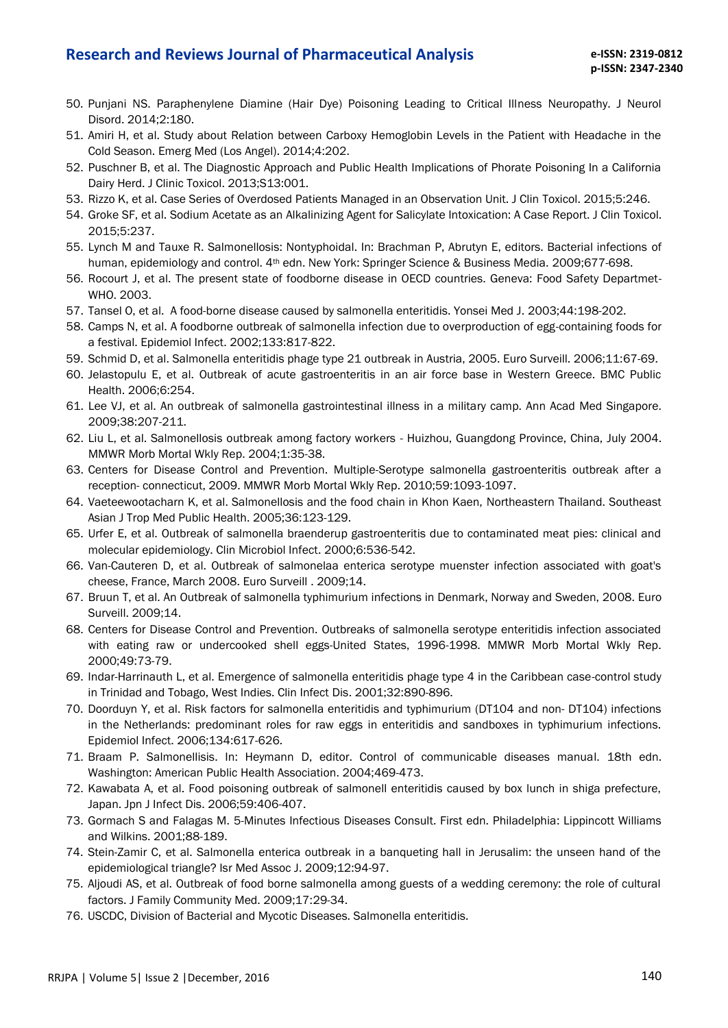- 50. Punjani NS. Paraphenylene Diamine (Hair Dye) Poisoning Leading to Critical Illness Neuropathy. J Neurol Disord. 2014;2:180.
- 51. Amiri H, et al. Study about Relation between Carboxy Hemoglobin Levels in the Patient with Headache in the Cold Season. Emerg Med (Los Angel). 2014;4:202.
- 52. Puschner B, et al. The Diagnostic Approach and Public Health Implications of Phorate Poisoning In a California Dairy Herd. J Clinic Toxicol. 2013;S13:001.
- 53. Rizzo K, et al. Case Series of Overdosed Patients Managed in an Observation Unit. J Clin Toxicol. 2015;5:246.
- 54. Groke SF, et al. Sodium Acetate as an Alkalinizing Agent for Salicylate Intoxication: A Case Report. J Clin Toxicol. 2015;5:237.
- 55. Lynch M and Tauxe R. Salmonellosis: Nontyphoidal. In: Brachman P, Abrutyn E, editors. Bacterial infections of human, epidemiology and control. 4<sup>th</sup> edn. New York: Springer Science & Business Media. 2009;677-698.
- 56. Rocourt J, et al. The present state of foodborne disease in OECD countries. Geneva: Food Safety Departmet-WHO. 2003.
- 57. Tansel O, et al. A food-borne disease caused by salmonella enteritidis. Yonsei Med J. 2003;44:198-202.
- 58. Camps N, et al. A foodborne outbreak of salmonella infection due to overproduction of egg-containing foods for a festival. Epidemiol Infect. 2002;133:817-822.
- 59. Schmid D, et al. Salmonella enteritidis phage type 21 outbreak in Austria, 2005. Euro Surveill. 2006;11:67-69.
- 60. Jelastopulu E, et al. Outbreak of acute gastroenteritis in an air force base in Western Greece. BMC Public Health. 2006;6:254.
- 61. Lee VJ, et al. An outbreak of salmonella gastrointestinal illness in a military camp. Ann Acad Med Singapore. 2009;38:207-211.
- 62. Liu L, et al. Salmonellosis outbreak among factory workers Huizhou, Guangdong Province, China, July 2004. MMWR Morb Mortal Wkly Rep. 2004;1:35-38.
- 63. Centers for Disease Control and Prevention. Multiple-Serotype salmonella gastroenteritis outbreak after a reception- connecticut, 2009. MMWR Morb Mortal Wkly Rep. 2010;59:1093-1097.
- 64. Vaeteewootacharn K, et al. Salmonellosis and the food chain in Khon Kaen, Northeastern Thailand. Southeast Asian J Trop Med Public Health. 2005;36:123-129.
- 65. Urfer E, et al. Outbreak of salmonella braenderup gastroenteritis due to contaminated meat pies: clinical and molecular epidemiology. Clin Microbiol Infect. 2000;6:536-542.
- 66. Van-Cauteren D, et al. Outbreak of salmonelaa enterica serotype muenster infection associated with goat's cheese, France, March 2008. Euro Surveill . 2009;14.
- 67. Bruun T, et al. An Outbreak of salmonella typhimurium infections in Denmark, Norway and Sweden, 2008. Euro Surveill. 2009;14.
- 68. Centers for Disease Control and Prevention. Outbreaks of salmonella serotype enteritidis infection associated with eating raw or undercooked shell eggs-United States, 1996-1998. MMWR Morb Mortal Wkly Rep. 2000;49:73-79.
- 69. Indar-Harrinauth L, et al. Emergence of salmonella enteritidis phage type 4 in the Caribbean case-control study in Trinidad and Tobago, West Indies. Clin Infect Dis. 2001;32:890-896.
- 70. Doorduyn Y, et al. Risk factors for salmonella enteritidis and typhimurium (DT104 and non- DT104) infections in the Netherlands: predominant roles for raw eggs in enteritidis and sandboxes in typhimurium infections. Epidemiol Infect. 2006;134:617-626.
- 71. Braam P. Salmonellisis. In: Heymann D, editor. Control of communicable diseases manual. 18th edn. Washington: American Public Health Association. 2004;469-473.
- 72. Kawabata A, et al. Food poisoning outbreak of salmonell enteritidis caused by box lunch in shiga prefecture, Japan. Jpn J Infect Dis. 2006;59:406-407.
- 73. Gormach S and Falagas M. 5-Minutes Infectious Diseases Consult. First edn. Philadelphia: Lippincott Williams and Wilkins. 2001;88-189.
- 74. Stein-Zamir C, et al. Salmonella enterica outbreak in a banqueting hall in Jerusalim: the unseen hand of the epidemiological triangle? Isr Med Assoc J. 2009;12:94-97.
- 75. Aljoudi AS, et al. Outbreak of food borne salmonella among guests of a wedding ceremony: the role of cultural factors. J Family Community Med. 2009;17:29-34.
- 76. USCDC, Division of Bacterial and Mycotic Diseases. Salmonella enteritidis.